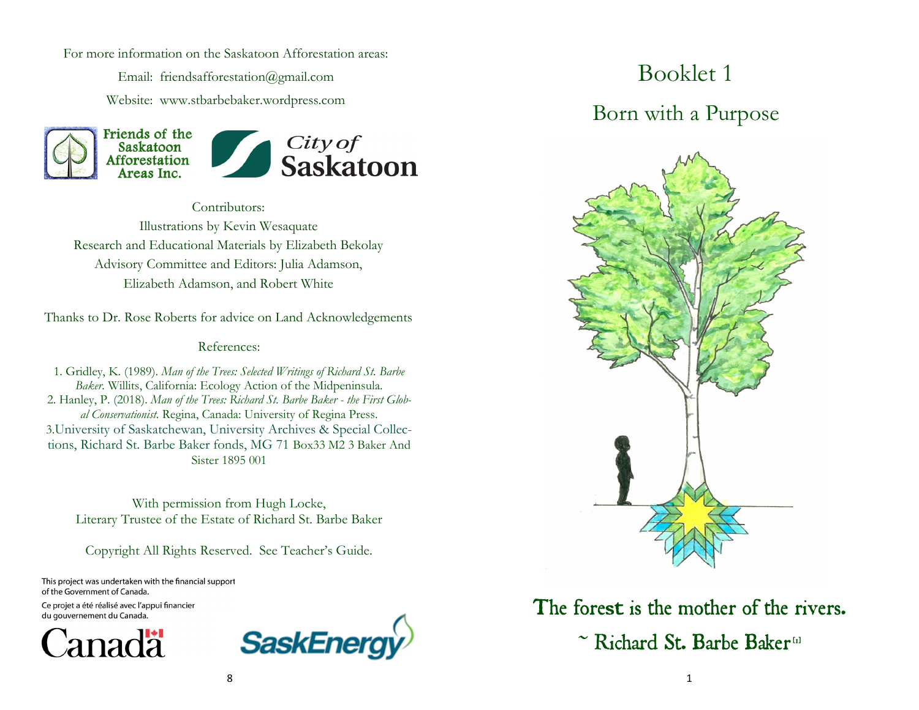For more information on the Saskatoon Afforestation areas:

Email: friendsafforestation@gmail.com Website: www.stbarbebaker.wordpress.com





Contributors: Illustrations by Kevin Wesaquate Research and Educational Materials by Elizabeth Bekolay Advisory Committee and Editors: Julia Adamson, Elizabeth Adamson, and Robert White

Thanks to Dr. Rose Roberts for advice on Land Acknowledgements

#### References:

1. Gridley, K. (1989). *Man of the Trees: Selected Writings of Richard St. Barbe Baker.* Willits, California: Ecology Action of the Midpeninsula. 2. Hanley, P. (2018). *Man of the Trees: Richard St. Barbe Baker - the First Global Conservationist.* Regina, Canada: University of Regina Press. 3.University of Saskatchewan, University Archives & Special Collections, Richard St. Barbe Baker fonds, MG 71 Box33 M2 3 Baker And Sister 1895 001

With permission from Hugh Locke, Literary Trustee of the Estate of Richard St. Barbe Baker

Copyright All Rights Reserved. See Teacher's Guide.

This project was undertaken with the financial support of the Government of Canada.

Ce projet a été réalisé avec l'appui financier du gouvernement du Canada.





# Booklet 1

#### Born with a Purpose



The forest is the mother of the rivers. ~ Richard St. Barbe Baker<sup>tal</sup>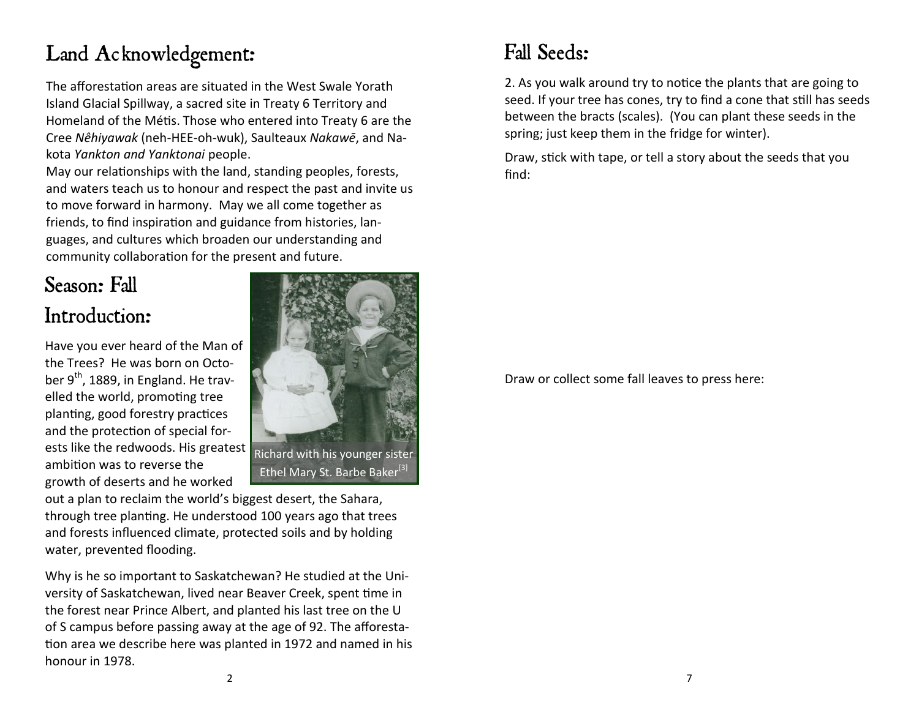## Land Acknowledgement:

The afforestation areas are situated in the West Swale Yorath Island Glacial Spillway, a sacred site in Treaty 6 Territory and Homeland of the Métis. Those who entered into Treaty 6 are the Cree *Nêhiyawak* (neh-HEE-oh-wuk), Saulteaux *[Nakawē](https://en.wikipedia.org/wiki/Saulteaux)*, and Nakota *Yankton and Yanktonai* people.

May our relationships with the land, standing peoples, forests, and waters teach us to honour and respect the past and invite us to move forward in harmony. May we all come together as friends, to find inspiration and guidance from histories, languages, and cultures which broaden our understanding and community collaboration for the present and future.

#### Season: Fall Introduction:

Have you ever heard of the Man of the Trees? He was born on October  $9<sup>th</sup>$ , 1889, in England. He travelled the world, promoting tree planting, good forestry practices and the protection of special forests like the redwoods. His greatest ambition was to reverse the growth of deserts and he worked



out a plan to reclaim the world's biggest desert, the Sahara, through tree planting. He understood 100 years ago that trees and forests influenced climate, protected soils and by holding water, prevented flooding.

Why is he so important to Saskatchewan? He studied at the University of Saskatchewan, lived near Beaver Creek, spent time in the forest near Prince Albert, and planted his last tree on the U of S campus before passing away at the age of 92. The afforestation area we describe here was planted in 1972 and named in his honour in 1978.

### Fall Seeds:

2. As you walk around try to notice the plants that are going to seed. If your tree has cones, try to find a cone that still has seeds between the bracts (scales). (You can plant these seeds in the spring; just keep them in the fridge for winter).

Draw, stick with tape, or tell a story about the seeds that you find:

Draw or collect some fall leaves to press here: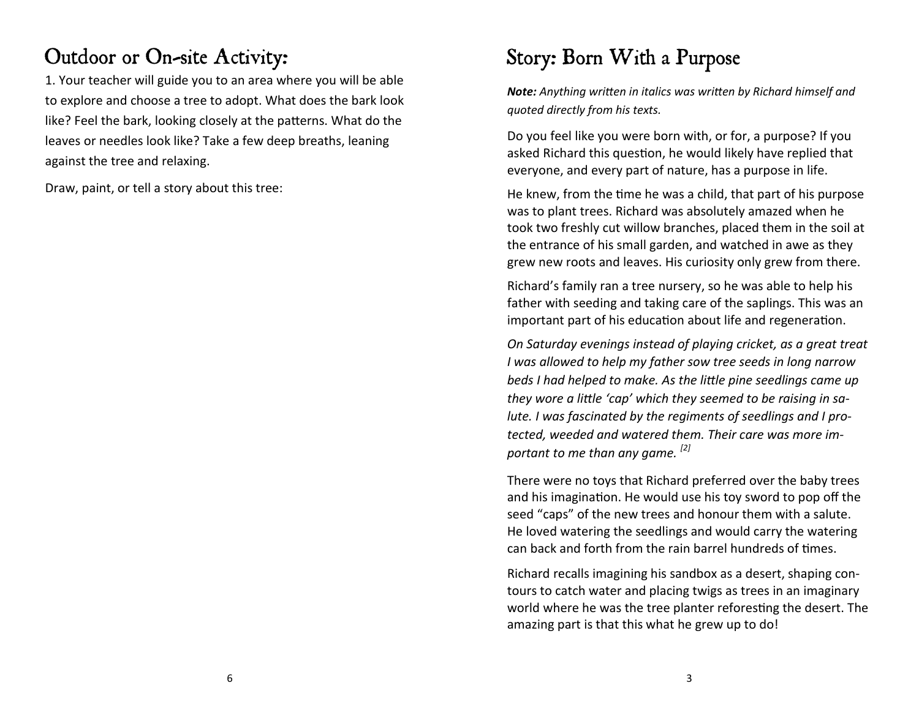### Outdoor or On-site Activity:

1. Your teacher will guide you to an area where you will be able to explore and choose a tree to adopt. What does the bark look like? Feel the bark, looking closely at the patterns. What do the leaves or needles look like? Take a few deep breaths, leaning against the tree and relaxing.

Draw, paint, or tell a story about this tree:

# Story: Born With a Purpose

*Note: Anything written in italics was written by Richard himself and quoted directly from his texts.* 

Do you feel like you were born with, or for, a purpose? If you asked Richard this question, he would likely have replied that everyone, and every part of nature, has a purpose in life.

He knew, from the time he was a child, that part of his purpose was to plant trees. Richard was absolutely amazed when he took two freshly cut willow branches, placed them in the soil at the entrance of his small garden, and watched in awe as they grew new roots and leaves. His curiosity only grew from there.

Richard's family ran a tree nursery, so he was able to help his father with seeding and taking care of the saplings. This was an important part of his education about life and regeneration.

*On Saturday evenings instead of playing cricket, as a great treat I was allowed to help my father sow tree seeds in long narrow beds I had helped to make. As the little pine seedlings came up they wore a little 'cap' which they seemed to be raising in salute. I was fascinated by the regiments of seedlings and I protected, weeded and watered them. Their care was more important to me than any game. [2]*

There were no toys that Richard preferred over the baby trees and his imagination. He would use his toy sword to pop off the seed "caps" of the new trees and honour them with a salute. He loved watering the seedlings and would carry the watering can back and forth from the rain barrel hundreds of times.

Richard recalls imagining his sandbox as a desert, shaping contours to catch water and placing twigs as trees in an imaginary world where he was the tree planter reforesting the desert. The amazing part is that this what he grew up to do!